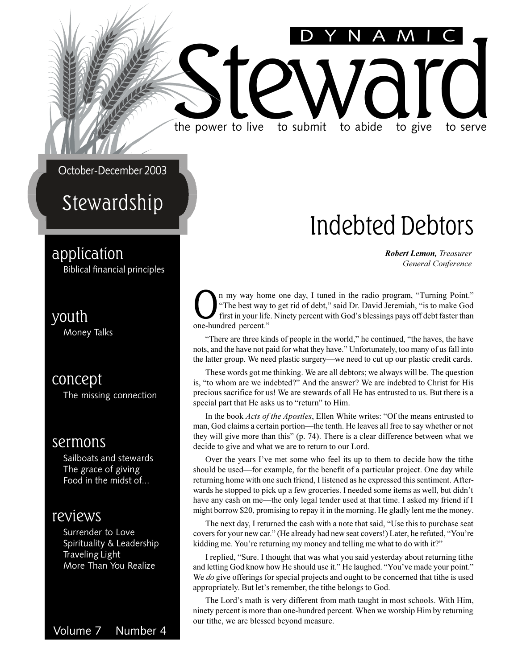October-December 2003

### Stewardship

#### application

Biblical financial principles

#### youth

Money Talks

#### concept

The missing connection

#### sermons

Sailboats and stewards The grace of giving Food in the midst of...

#### reviews

Surrender to Love Spirituality & Leadership Traveling Light More Than You Realize

DYNAMIC

### Indebted Debtors

*Robert Lemon, Treasurer General Conference*

**O**<sup>n</sup> my way hom<br>
first in your life<br>
one-hundred percent." n my way home one day, I tuned in the radio program, "Turning Point." "The best way to get rid of debt," said Dr. David Jeremiah, "is to make God first in your life. Ninety percent with God's blessings pays off debt faster than

the power to live to submit to abide to give to serve

the power to live to submit to abide to give to serve

"There are three kinds of people in the world," he continued, "the haves, the have nots, and the have not paid for what they have. Unfortunately, too many of us fall into the latter group. We need plastic surgery—we need to cut up our plastic credit cards.

These words got me thinking. We are all debtors; we always will be. The question is, "to whom are we indebted?" And the answer? We are indebted to Christ for His precious sacrifice for us! We are stewards of all He has entrusted to us. But there is a special part that He asks us to "return" to Him.

In the book *Acts of the Apostles*, Ellen White writes: "Of the means entrusted to man, God claims a certain portion—the tenth. He leaves all free to say whether or not they will give more than this"  $(p. 74)$ . There is a clear difference between what we decide to give and what we are to return to our Lord.

Over the years I've met some who feel its up to them to decide how the tithe should be used—for example, for the benefit of a particular project. One day while returning home with one such friend, I listened as he expressed this sentiment. Afterwards he stopped to pick up a few groceries. I needed some items as well, but didn't have any cash on me—the only legal tender used at that time. I asked my friend if I might borrow \$20, promising to repay it in the morning. He gladly lent me the money.

The next day, I returned the cash with a note that said, "Use this to purchase seat covers for your new car." (He already had new seat covers!) Later, he refuted, "You're kidding me. You're returning my money and telling me what to do with it?"

I replied, "Sure. I thought that was what you said yesterday about returning tithe and letting God know how He should use it." He laughed. "You've made your point." We *do* give offerings for special projects and ought to be concerned that tithe is used appropriately. But let's remember, the tithe belongs to God.

The Lord's math is very different from math taught in most schools. With Him, ninety percent is more than one-hundred percent. When we worship Him by returning our tithe, we are blessed beyond measure.

Volume 7 Number 4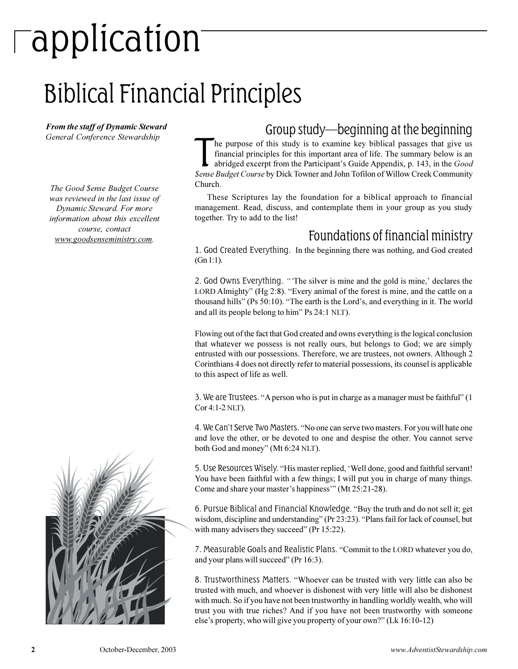## application

### Biblical Financial Principles

*From the staff of Dynamic Steward*

*The Good \$ense Budget Course was reviewed in the last issue of Dynamic Steward. For more information about this excellent course, contact www.goodsenseministry.com.*



#### *From the staff of Dynamic Steward*<br>Group study—beginning at the beginning<br>

The purpose of this study is to examine key biblical passages that give us<br>financial principles for this important area of life. The summary below is an<br>abridged excerpt from the Participant's Guide Appendix, p. 143, in th he purpose of this study is to examine key biblical passages that give us financial principles for this important area of life. The summary below is an abridged excerpt from the Participant's Guide Appendix, p. 143, in the *Good* Church.

These Scriptures lay the foundation for a biblical approach to financial management. Read, discuss, and contemplate them in your group as you study together. Try to add to the list!

#### Foundations of financial ministry

1. God Created Everything. In the beginning there was nothing, and God created (Gn 1:1).

2. God Owns Everything. "The silver is mine and the gold is mine,' declares the LORD Almighty" (Hg 2:8). "Every animal of the forest is mine, and the cattle on a thousand hills" (Ps 50:10). "The earth is the Lord's, and everything in it. The world and all its people belong to him" Ps 24:1 NLT).

Flowing out of the fact that God created and owns everything is the logical conclusion that whatever we possess is not really ours, but belongs to God; we are simply entrusted with our possessions. Therefore, we are trustees, not owners. Although 2 Corinthians 4 does not directly refer to material possessions, its counsel is applicable to this aspect of life as well.

3. We are Trustees. "A person who is put in charge as a manager must be faithful" (1) Cor 4:1-2 NLT).

4. We Can't Serve Two Masters. "No one can serve two masters. For you will hate one and love the other, or be devoted to one and despise the other. You cannot serve both God and money" (Mt 6:24 NLT).

5. Use Resources Wisely. "His master replied, 'Well done, good and faithful servant! You have been faithful with a few things; I will put you in charge of many things. Come and share your master's happiness" (Mt 25:21-28).

6. Pursue Biblical and Financial Knowledge. "Buy the truth and do not sell it; get wisdom, discipline and understanding" (Pr 23:23). "Plans fail for lack of counsel, but with many advisers they succeed" (Pr 15:22).

7. Measurable Goals and Realistic Plans. "Commit to the LORD whatever you do, and your plans will succeed" (Pr 16:3).

8. Trustworthiness Matters. Whoever can be trusted with very little can also be trusted with much, and whoever is dishonest with very little will also be dishonest with much. So if you have not been trustworthy in handling worldly wealth, who will trust you with true riches? And if you have not been trustworthy with someone else's property, who will give you property of your own?" (Lk 16:10-12)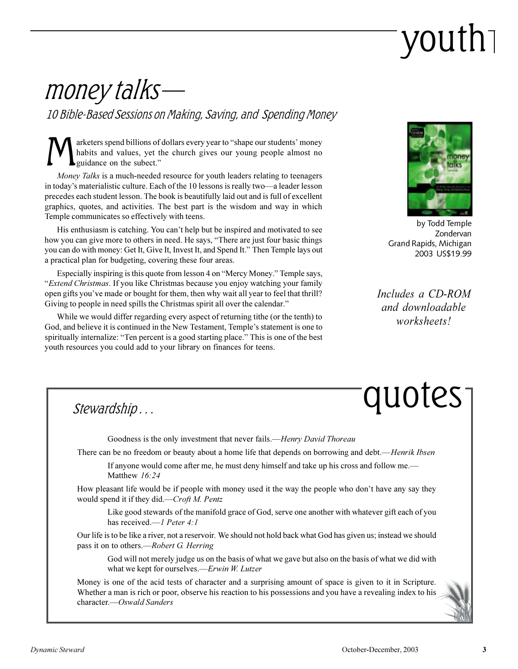## youth

### money talks

10 Bible-Based Sessions on Making, Saving, and Spending Money

M arketers spend billions of dollars every year to "shape our students' money habits and values, yet the church gives our young people almost no guidance on the subect.

*Money Talks* is a much-needed resource for youth leaders relating to teenagers in today's materialistic culture. Each of the 10 lessons is really two-a leader lesson precedes each student lesson. The book is beautifully laid out and is full of excellent graphics, quotes, and activities. The best part is the wisdom and way in which Temple communicates so effectively with teens.

His enthusiasm is catching. You can't help but be inspired and motivated to see how you can give more to others in need. He says, "There are just four basic things you can do with money: Get It, Give It, Invest It, and Spend It." Then Temple lays out a practical plan for budgeting, covering these four areas.

Especially inspiring is this quote from lesson 4 on "Mercy Money." Temple says, *Extend Christmas*. If you like Christmas because you enjoy watching your family open gifts you've made or bought for them, then why wait all year to feel that thrill? Giving to people in need spills the Christmas spirit all over the calendar."

While we would differ regarding every aspect of returning tithe (or the tenth) to God, and believe it is continued in the New Testament, Temple's statement is one to spiritually internalize: "Ten percent is a good starting place." This is one of the best youth resources you could add to your library on finances for teens.



by Todd Temple Zondervan Grand Rapids, Michigan 2003 US\$19.99

*Includes a CD-ROM and downloadable worksheets!*

## quotes

Stewardship . . .

Goodness is the only investment that never fails.*Henry David Thoreau*

There can be no freedom or beauty about a home life that depends on borrowing and debt.*Henrik Ibsen*

If anyone would come after me, he must deny himself and take up his cross and follow me. Matthew *16:24*

How pleasant life would be if people with money used it the way the people who don't have any say they would spend it if they did.*Croft M. Pentz*

Like good stewards of the manifold grace of God, serve one another with whatever gift each of you has received.—*1 Peter 4:1* 

Our life is to be like a river, not a reservoir. We should not hold back what God has given us; instead we should pass it on to others.*Robert G. Herring*

God will not merely judge us on the basis of what we gave but also on the basis of what we did with what we kept for ourselves.*Erwin W. Lutzer* 

Money is one of the acid tests of character and a surprising amount of space is given to it in Scripture. Whether a man is rich or poor, observe his reaction to his possessions and you have a revealing index to his character.*Oswald Sanders*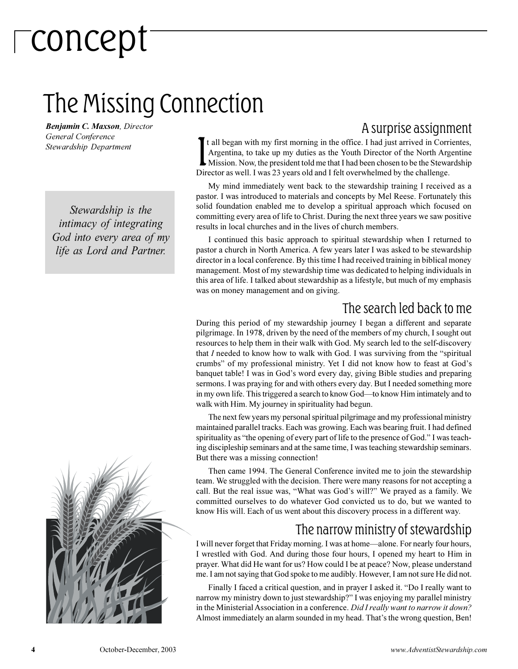## concept

### The Missing Connection

*Benjamin C. Maxson, Director General Conference Stewardship Department*

*Stewardship is the intimacy of integrating God into every area of my life as Lord and Partner.*



#### A surprise assignment

It all began with my first morning in the office. I had just arrived in Corr Argentina, to take up my duties as the Youth Director of the North Arg Mission. Now, the president told me that I had been chosen to be the Stewa t all began with my first morning in the office. I had just arrived in Corrientes, Argentina, to take up my duties as the Youth Director of the North Argentine Mission. Now, the president told me that I had been chosen to be the Stewardship

My mind immediately went back to the stewardship training I received as a pastor. I was introduced to materials and concepts by Mel Reese. Fortunately this solid foundation enabled me to develop a spiritual approach which focused on committing every area of life to Christ. During the next three years we saw positive results in local churches and in the lives of church members.

I continued this basic approach to spiritual stewardship when I returned to pastor a church in North America. A few years later I was asked to be stewardship director in a local conference. By this time I had received training in biblical money management. Most of my stewardship time was dedicated to helping individuals in this area of life. I talked about stewardship as a lifestyle, but much of my emphasis was on money management and on giving.

#### The search led back to me

During this period of my stewardship journey I began a different and separate pilgrimage. In 1978, driven by the need of the members of my church, I sought out resources to help them in their walk with God. My search led to the self-discovery that *I* needed to know how to walk with God. I was surviving from the "spiritual crumbs" of my professional ministry. Yet I did not know how to feast at God's banquet table! I was in God's word every day, giving Bible studies and preparing sermons. I was praying for and with others every day. But I needed something more in my own life. This triggered a search to know God-to know Him intimately and to walk with Him. My journey in spirituality had begun.

The next few years my personal spiritual pilgrimage and my professional ministry maintained parallel tracks. Each was growing. Each was bearing fruit. I had defined spirituality as "the opening of every part of life to the presence of God." I was teaching discipleship seminars and at the same time, I was teaching stewardship seminars. But there was a missing connection!

Then came 1994. The General Conference invited me to join the stewardship team. We struggled with the decision. There were many reasons for not accepting a call. But the real issue was, "What was God's will?" We prayed as a family. We committed ourselves to do whatever God convicted us to do, but we wanted to know His will. Each of us went about this discovery process in a different way.

#### The narrow ministry of stewardship

I will never forget that Friday morning. I was at home-alone. For nearly four hours, I wrestled with God. And during those four hours, I opened my heart to Him in prayer. What did He want for us? How could I be at peace? Now, please understand me. I am not saying that God spoke to me audibly. However, I am not sure He did not.

Finally I faced a critical question, and in prayer I asked it. "Do I really want to narrow my ministry down to just stewardship?" I was enjoying my parallel ministry in the Ministerial Association in a conference. *Did I really want to narrow it down?* Almost immediately an alarm sounded in my head. That's the wrong question, Ben!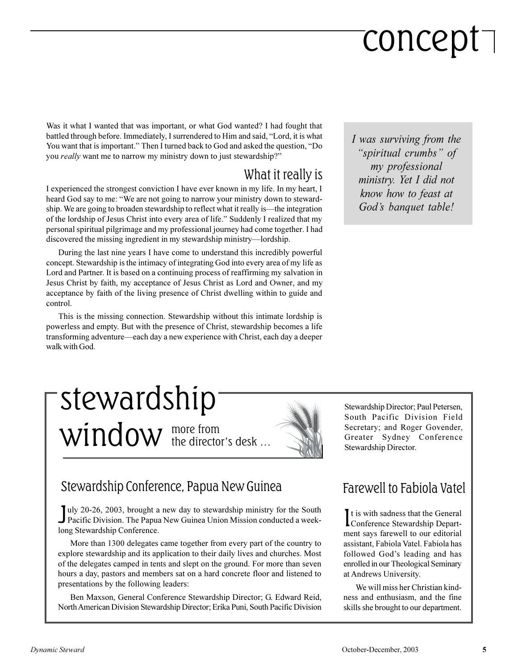## concept

Was it what I wanted that was important, or what God wanted? I had fought that battled through before. Immediately, I surrendered to Him and said, "Lord, it is what You want that is important." Then I turned back to God and asked the question, "Do you *really* want me to narrow my ministry down to just stewardship?

#### What it really is

I experienced the strongest conviction I have ever known in my life. In my heart, I heard God say to me: "We are not going to narrow your ministry down to stewardship. We are going to broaden stewardship to reflect what it really is—the integration of the lordship of Jesus Christ into every area of life." Suddenly I realized that my personal spiritual pilgrimage and my professional journey had come together. I had discovered the missing ingredient in my stewardship ministry—lordship.

During the last nine years I have come to understand this incredibly powerful concept. Stewardship is the intimacy of integrating God into every area of my life as Lord and Partner. It is based on a continuing process of reaffirming my salvation in Jesus Christ by faith, my acceptance of Jesus Christ as Lord and Owner, and my acceptance by faith of the living presence of Christ dwelling within to guide and control.

This is the missing connection. Stewardship without this intimate lordship is powerless and empty. But with the presence of Christ, stewardship becomes a life transforming adventure—each day a new experience with Christ, each day a deeper walk with God.

### more from  $window$  the director's desk  $...$ stewardship



July 20-26, 2003, brought a new day to stewardship ministry for the South Pacific Division. The Papua New Guinea Union Mission conducted a weekuly 20-26, 2003, brought a new day to stewardship ministry for the South long Stewardship Conference.

More than 1300 delegates came together from every part of the country to explore stewardship and its application to their daily lives and churches. Most of the delegates camped in tents and slept on the ground. For more than seven hours a day, pastors and members sat on a hard concrete floor and listened to presentations by the following leaders:

Ben Maxson, General Conference Stewardship Director; G. Edward Reid, North American Division Stewardship Director; Erika Puni, South Pacific Division *I was surviving from the* "spiritual crumbs" of *my professional ministry. Yet I did not know how to feast at Gods banquet table!*

Stewardship Director; Paul Petersen, South Pacific Division Field Secretary; and Roger Govender, Greater Sydney Conference Stewardship Director.

#### Farewell to Fabiola Vatel

It is with sadness that the General<br>Conference Stewardship Departt is with sadness that the General ment says farewell to our editorial assistant, Fabiola Vatel. Fabiola has followed God's leading and has enrolled in our Theological Seminary at Andrews University.

We will miss her Christian kindness and enthusiasm, and the fine skills she brought to our department.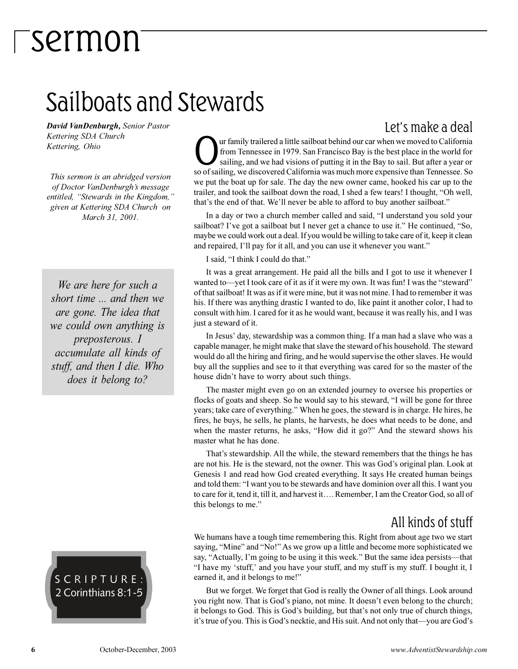### Sailboats and Stewards

*David VanDenburgh, Senior Pastor Kettering SDA Church Kettering, Ohio*

*This sermon is an abridged version of Doctor VanDenburgh's message entitled, Stewards in the Kingdom, given at Kettering SDA Church on March 31, 2001.*

*We are here for such a short time ... and then we are gone. The idea that we could own anything is preposterous. I accumulate all kinds of stuff, and then I die. Who does it belong to?*

#### SCRIPTURE: 2 Corinthians 8:1-5

Ur family trailered a little sailboat behind our car when we moved to California<br>from Tennessee in 1979. San Francisco Bay is the best place in the world for<br>sailing, and we had visions of putting it in the Bay to sail. Bu ur family trailered a little sailboat behind our car when we moved to California from Tennessee in 1979. San Francisco Bay is the best place in the world for sailing, and we had visions of putting it in the Bay to sail. But after a year or we put the boat up for sale. The day the new owner came, hooked his car up to the trailer, and took the sailboat down the road, I shed a few tears! I thought, "Oh well, that's the end of that. We'll never be able to afford to buy another sailboat."

In a day or two a church member called and said, "I understand you sold your sailboat? I've got a sailboat but I never get a chance to use it." He continued, "So, maybe we could work out a deal. If you would be willing to take care of it, keep it clean and repaired, I'll pay for it all, and you can use it whenever you want."

I said, "I think I could do that."

It was a great arrangement. He paid all the bills and I got to use it whenever I wanted to-yet I took care of it as if it were my own. It was fun! I was the "steward" of that sailboat! It was as if it were mine, but it was not mine. I had to remember it was his. If there was anything drastic I wanted to do, like paint it another color, I had to consult with him. I cared for it as he would want, because it was really his, and I was just a steward of it.

In Jesus' day, stewardship was a common thing. If a man had a slave who was a capable manager, he might make that slave the steward of his household. The steward would do all the hiring and firing, and he would supervise the other slaves. He would buy all the supplies and see to it that everything was cared for so the master of the house didn't have to worry about such things.

The master might even go on an extended journey to oversee his properties or flocks of goats and sheep. So he would say to his steward, "I will be gone for three years; take care of everything." When he goes, the steward is in charge. He hires, he fires, he buys, he sells, he plants, he harvests, he does what needs to be done, and when the master returns, he asks, "How did it go?" And the steward shows his master what he has done.

That's stewardship. All the while, the steward remembers that the things he has are not his. He is the steward, not the owner. This was God's original plan. Look at Genesis 1 and read how God created everything. It says He created human beings and told them: "I want you to be stewards and have dominion over all this. I want you to care for it, tend it, till it, and harvest it.... Remember, I am the Creator God, so all of this belongs to me.

#### All kinds of stuff

We humans have a tough time remembering this. Right from about age two we start saying, "Mine" and "No!" As we grow up a little and become more sophisticated we say, "Actually, I'm going to be using it this week." But the same idea persists—that "I have my 'stuff,' and you have your stuff, and my stuff is my stuff. I bought it, I earned it, and it belongs to me!"

But we forget. We forget that God is really the Owner of all things. Look around you right now. That is God's piano, not mine. It doesn't even belong to the church; it belongs to God. This is God's building, but that's not only true of church things, it's true of you. This is God's necktie, and His suit. And not only that—you are God's

#### Let's make a deal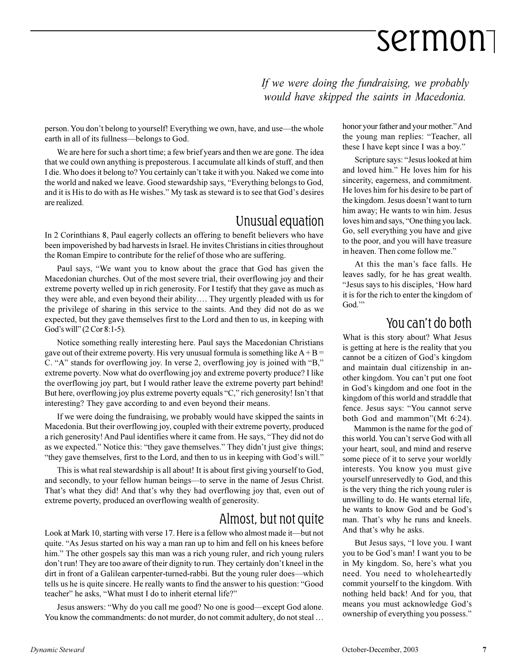*If we were doing the fundraising, we probably would have skipped the saints in Macedonia.*

person. You don't belong to yourself! Everything we own, have, and use—the whole earth in all of its fullness-belongs to God.

We are here for such a short time; a few brief years and then we are gone. The idea that we could own anything is preposterous. I accumulate all kinds of stuff, and then I die. Who does it belong to? You certainly can't take it with you. Naked we come into the world and naked we leave. Good stewardship says, "Everything belongs to God, and it is His to do with as He wishes." My task as steward is to see that God's desires are realized.

#### Unusual equation

In 2 Corinthians 8, Paul eagerly collects an offering to benefit believers who have been impoverished by bad harvests in Israel. He invites Christians in cities throughout the Roman Empire to contribute for the relief of those who are suffering.

Paul says, We want you to know about the grace that God has given the Macedonian churches. Out of the most severe trial, their overflowing joy and their extreme poverty welled up in rich generosity. For I testify that they gave as much as they were able, and even beyond their ability. They urgently pleaded with us for the privilege of sharing in this service to the saints. And they did not do as we expected, but they gave themselves first to the Lord and then to us, in keeping with God's will"  $(2 Cor 8:1-5)$ .

Notice something really interesting here. Paul says the Macedonian Christians gave out of their extreme poverty. His very unusual formula is something like  $A + B =$ C. "A" stands for overflowing joy. In verse 2, overflowing joy is joined with "B," extreme poverty. Now what do overflowing joy and extreme poverty produce? I like the overflowing joy part, but I would rather leave the extreme poverty part behind! But here, overflowing joy plus extreme poverty equals "C," rich generosity! Isn't that interesting? They gave according to and even beyond their means.

If we were doing the fundraising, we probably would have skipped the saints in Macedonia. But their overflowing joy, coupled with their extreme poverty, produced a rich generosity! And Paul identifies where it came from. He says, "They did not do as we expected." Notice this: "they gave themselves." They didn't just give things; "they gave themselves, first to the Lord, and then to us in keeping with God's will."

This is what real stewardship is all about! It is about first giving yourself to God, and secondly, to your fellow human beings—to serve in the name of Jesus Christ. That's what they did! And that's why they had overflowing joy that, even out of extreme poverty, produced an overflowing wealth of generosity.

#### Almost, but not quite

Look at Mark 10, starting with verse 17. Here is a fellow who almost made it-but not quite. "As Jesus started on his way a man ran up to him and fell on his knees before him." The other gospels say this man was a rich young ruler, and rich young rulers don't run! They are too aware of their dignity to run. They certainly don't kneel in the dirt in front of a Galilean carpenter-turned-rabbi. But the young ruler does—which tells us he is quite sincere. He really wants to find the answer to his question: "Good teacher" he asks, "What must I do to inherit eternal life?"

Jesus answers: "Why do you call me good? No one is good—except God alone. You know the commandments: do not murder, do not commit adultery, do not steal ...

honor your father and your mother." And the young man replies: "Teacher, all these I have kept since I was a boy.

Scripture says: "Jesus looked at him and loved him." He loves him for his sincerity, eagerness, and commitment. He loves him for his desire to be part of the kingdom. Jesus doesn't want to turn him away; He wants to win him. Jesus loves him and says, "One thing you lack. Go, sell everything you have and give to the poor, and you will have treasure in heaven. Then come follow me.

At this the man's face falls. He leaves sadly, for he has great wealth. "Jesus says to his disciples, 'How hard it is for the rich to enter the kingdom of God."

#### You can't do both

What is this story about? What Jesus is getting at here is the reality that you cannot be a citizen of God's kingdom and maintain dual citizenship in another kingdom. You can't put one foot in God's kingdom and one foot in the kingdom of this world and straddle that fence. Jesus says: "You cannot serve both God and mammon"(Mt 6:24).

 Mammon is the name for the god of this world. You can't serve God with all your heart, soul, and mind and reserve some piece of it to serve your worldly interests. You know you must give yourself unreservedly to God, and this is the very thing the rich young ruler is unwilling to do. He wants eternal life, he wants to know God and be God's man. That's why he runs and kneels. And that's why he asks.

But Jesus says, "I love you. I want you to be God's man! I want you to be in My kingdom. So, here's what you need. You need to wholeheartedly commit yourself to the kingdom. With nothing held back! And for you, that means you must acknowledge God's ownership of everything you possess.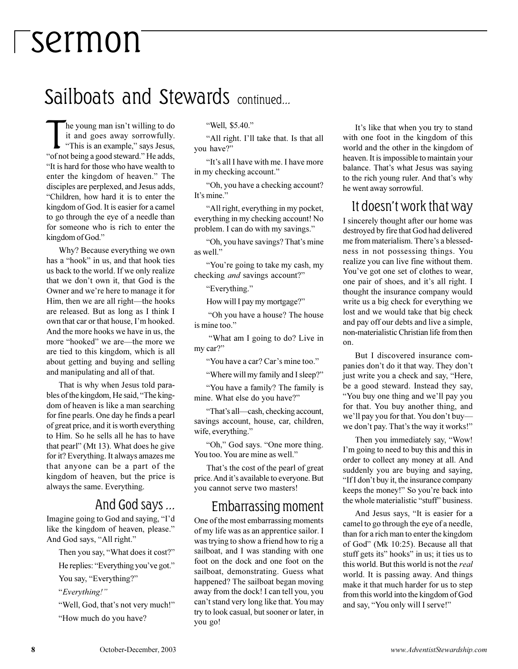### Sailboats and Stewards continued...

The young man isn't willing to do<br>it and goes away sorrowfully.<br>"This is an example," says Jesus,<br>"of not being a good steward." He adds, he young man isn't willing to do it and goes away sorrowfully. "This is an example," says Jesus, "It is hard for those who have wealth to enter the kingdom of heaven." The disciples are perplexed, and Jesus adds, Children, how hard it is to enter the kingdom of God. It is easier for a camel to go through the eye of a needle than for someone who is rich to enter the kingdom of God.

Why? Because everything we own has a "hook" in us, and that hook ties us back to the world. If we only realize that we don't own it, that God is the Owner and we're here to manage it for Him, then we are all right—the hooks are released. But as long as I think I own that car or that house, I'm hooked. And the more hooks we have in us, the more "hooked" we are—the more we are tied to this kingdom, which is all about getting and buying and selling and manipulating and all of that.

That is why when Jesus told parables of the kingdom, He said, "The kingdom of heaven is like a man searching for fine pearls. One day he finds a pearl of great price, and it is worth everything to Him. So he sells all he has to have that pearl" (Mt 13). What does he give for it? Everything. It always amazes me that anyone can be a part of the kingdom of heaven, but the price is always the same. Everything.

#### And God says ...

Imagine going to God and saying, "I'd like the kingdom of heaven, please." And God says, "All right."

Then you say, "What does it cost?"

He replies: "Everything you've got."

You say, "Everything?"

*Everything!*

"Well, God, that's not very much!" How much do you have?

"Well, \$5.40."

"All right. I'll take that. Is that all you have?

"It's all I have with me. I have more in my checking account.

Oh, you have a checking account? It's mine."

All right, everything in my pocket, everything in my checking account! No problem. I can do with my savings.

"Oh, you have savings? That's mine as well.

"You're going to take my cash, my checking *and* savings account?

"Everything."

How will I pay my mortgage?"

 Oh you have a house? The house is mine too.

 What am I going to do? Live in my car?"

"You have a car? Car's mine too."

Where will my family and I sleep?

You have a family? The family is mine. What else do you have?

"That's all-cash, checking account, savings account, house, car, children, wife, everything."

"Oh," God says. "One more thing. You too. You are mine as well."

That's the cost of the pearl of great price. And it's available to everyone. But you cannot serve two masters!

#### Embarrassing moment

One of the most embarrassing moments of my life was as an apprentice sailor. I was trying to show a friend how to rig a sailboat, and I was standing with one foot on the dock and one foot on the sailboat, demonstrating. Guess what happened? The sailboat began moving away from the dock! I can tell you, you can't stand very long like that. You may try to look casual, but sooner or later, in you go!

It's like that when you try to stand with one foot in the kingdom of this world and the other in the kingdom of heaven. It is impossible to maintain your balance. That's what Jesus was saying to the rich young ruler. And that's why he went away sorrowful.

#### It doesn't work that way

I sincerely thought after our home was destroyed by fire that God had delivered me from materialism. There's a blessedness in not possessing things. You realize you can live fine without them. You've got one set of clothes to wear, one pair of shoes, and it's all right. I thought the insurance company would write us a big check for everything we lost and we would take that big check and pay off our debts and live a simple, non-materialistic Christian life from then on.

But I discovered insurance companies don't do it that way. They don't just write you a check and say, "Here, be a good steward. Instead they say, "You buy one thing and we'll pay you for that. You buy another thing, and we'll pay you for that. You don't buywe don't pay. That's the way it works!"

Then you immediately say, "Wow! Im going to need to buy this and this in order to collect any money at all. And suddenly you are buying and saying, "If I don't buy it, the insurance company keeps the money!" So you're back into the whole materialistic "stuff" business.

And Jesus says, "It is easier for a camel to go through the eye of a needle, than for a rich man to enter the kingdom of God" (Mk 10:25). Because all that stuff gets its" hooks" in us; it ties us to this world. But this world is not the *real* world. It is passing away. And things make it that much harder for us to step from this world into the kingdom of God and say, "You only will I serve!"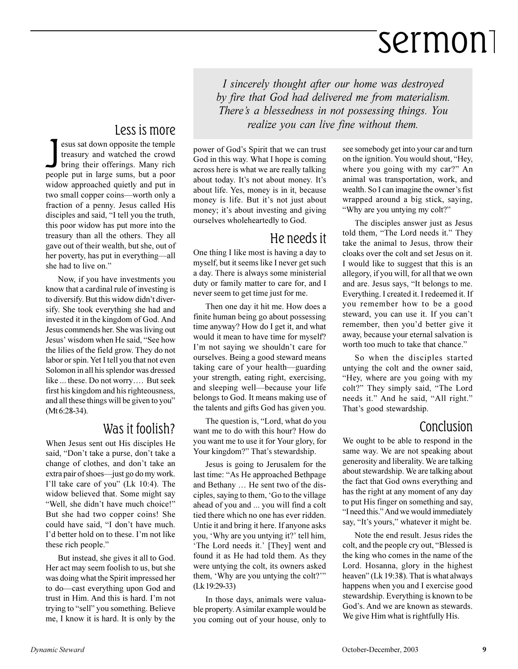*I sincerely thought after our home was destroyed by fire that God had delivered me from materialism. There's a blessedness in not possessing things. You realize you can live fine without them.*

#### Less is more

sus sat down opposite the temple<br>treasury and watched the crowd<br>bring their offerings. Many rich<br>people put in large sums, but a poor esus sat down opposite the temple treasury and watched the crowd bring their offerings. Many rich widow approached quietly and put in two small copper coins—worth only a fraction of a penny. Jesus called His disciples and said, "I tell you the truth, this poor widow has put more into the treasury than all the others. They all gave out of their wealth, but she, out of her poverty, has put in everything—all she had to live on.

Now, if you have investments you know that a cardinal rule of investing is to diversify. But this widow didn't diversify. She took everything she had and invested it in the kingdom of God. And Jesus commends her. She was living out Jesus' wisdom when He said, "See how the lilies of the field grow. They do not labor or spin. Yet I tell you that not even Solomon in all his splendor was dressed like ... these. Do not worry.... But seek first his kingdom and his righteousness, and all these things will be given to you (Mt 6:28-34).

#### Was it foolish?

When Jesus sent out His disciples He said, "Don't take a purse, don't take a change of clothes, and don't take an extra pair of shoes—just go do my work. I'll take care of you" (Lk 10:4). The widow believed that. Some might say "Well, she didn't have much choice!" But she had two copper coins! She could have said, "I don't have much. I'd better hold on to these. I'm not like these rich people.

But instead, she gives it all to God. Her act may seem foolish to us, but she was doing what the Spirit impressed her to do—cast everything upon God and trust in Him. And this is hard. I'm not trying to "sell" you something. Believe me, I know it is hard. It is only by the power of God's Spirit that we can trust God in this way. What I hope is coming across here is what we are really talking about today. It's not about money. It's about life. Yes, money is in it, because money is life. But it's not just about money; it's about investing and giving ourselves wholeheartedly to God.

#### He needs it

One thing I like most is having a day to myself, but it seems like I never get such a day. There is always some ministerial duty or family matter to care for, and I never seem to get time just for me.

Then one day it hit me. How does a finite human being go about possessing time anyway? How do I get it, and what would it mean to have time for myself? I'm not saying we shouldn't care for ourselves. Being a good steward means taking care of your health—guarding your strength, eating right, exercising, and sleeping well—because your life belongs to God. It means making use of the talents and gifts God has given you.

The question is, "Lord, what do you want me to do with this hour? How do you want me to use it for Your glory, for Your kingdom?" That's stewardship.

Jesus is going to Jerusalem for the last time: "As He approached Bethpage and Bethany ... He sent two of the disciples, saying to them, 'Go to the village ahead of you and ... you will find a colt tied there which no one has ever ridden. Untie it and bring it here. If anyone asks you, 'Why are you untying it?' tell him, The Lord needs it.' [They] went and found it as He had told them. As they were untying the colt, its owners asked them, 'Why are you untying the colt?'" (Lk 19:29-33)

In those days, animals were valuable property. A similar example would be you coming out of your house, only to

see somebody get into your car and turn on the ignition. You would shout, "Hey, where you going with my car?" An animal was transportation, work, and wealth. So I can imagine the owner's fist wrapped around a big stick, saying, Why are you untying my colt?

The disciples answer just as Jesus told them, "The Lord needs it." They take the animal to Jesus, throw their cloaks over the colt and set Jesus on it. I would like to suggest that this is an allegory, if you will, for all that we own and are. Jesus says, "It belongs to me. Everything. I created it. I redeemed it. If you remember how to be a good steward, you can use it. If you can't remember, then you'd better give it away, because your eternal salvation is worth too much to take that chance.

So when the disciples started untying the colt and the owner said, Hey, where are you going with my colt?" They simply said, "The Lord needs it." And he said, "All right." That's good stewardship.

#### Conclusion

We ought to be able to respond in the same way. We are not speaking about generosity and liberality. We are talking about stewardship. We are talking about the fact that God owns everything and has the right at any moment of any day to put His finger on something and say, "I need this." And we would immediately say, "It's yours," whatever it might be.

Note the end result. Jesus rides the colt, and the people cry out, "Blessed is the king who comes in the name of the Lord. Hosanna, glory in the highest heaven" (Lk 19:38). That is what always happens when you and I exercise good stewardship. Everything is known to be God's. And we are known as stewards. We give Him what is rightfully His.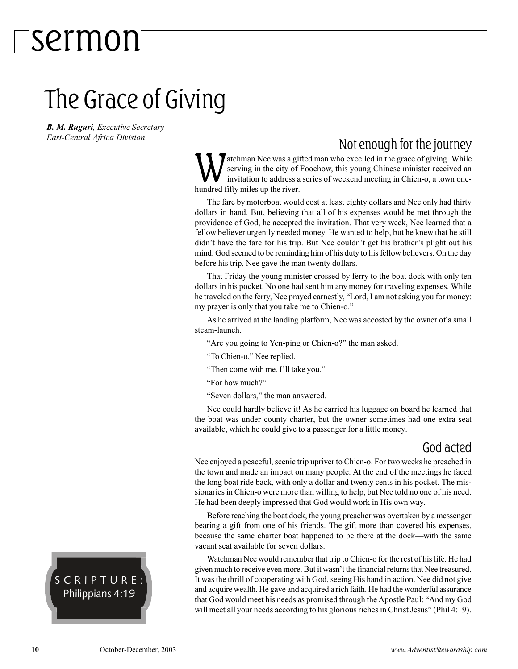### The Grace of Giving

*B. M. Ruguri, Executive Secretary East-Central Africa Division*

#### Not enough for the journey

**W** atchman Nee was a git<br>serving in the city of<br>hundred fifty miles up the river. atchman Nee was a gifted man who excelled in the grace of giving. While serving in the city of Foochow, this young Chinese minister received an invitation to address a series of weekend meeting in Chien-o, a town one-

The fare by motorboat would cost at least eighty dollars and Nee only had thirty dollars in hand. But, believing that all of his expenses would be met through the providence of God, he accepted the invitation. That very week, Nee learned that a fellow believer urgently needed money. He wanted to help, but he knew that he still didn't have the fare for his trip. But Nee couldn't get his brother's plight out his mind. God seemed to be reminding him of his duty to his fellow believers. On the day before his trip, Nee gave the man twenty dollars.

That Friday the young minister crossed by ferry to the boat dock with only ten dollars in his pocket. No one had sent him any money for traveling expenses. While he traveled on the ferry, Nee prayed earnestly, "Lord, I am not asking you for money: my prayer is only that you take me to Chien-o.

As he arrived at the landing platform, Nee was accosted by the owner of a small steam-launch.

"Are you going to Yen-ping or Chien-o?" the man asked.

"To Chien-o," Nee replied.

"Then come with me. I'll take you."

For how much?

"Seven dollars," the man answered.

Nee could hardly believe it! As he carried his luggage on board he learned that the boat was under county charter, but the owner sometimes had one extra seat available, which he could give to a passenger for a little money.

#### God acted

Nee enjoyed a peaceful, scenic trip upriver to Chien-o. For two weeks he preached in the town and made an impact on many people. At the end of the meetings he faced the long boat ride back, with only a dollar and twenty cents in his pocket. The missionaries in Chien-o were more than willing to help, but Nee told no one of his need. He had been deeply impressed that God would work in His own way.

Before reaching the boat dock, the young preacher was overtaken by a messenger bearing a gift from one of his friends. The gift more than covered his expenses, because the same charter boat happened to be there at the dock—with the same vacant seat available for seven dollars.

Watchman Nee would remember that trip to Chien-o for the rest of his life. He had given much to receive even more. But it wasn't the financial returns that Nee treasured. It was the thrill of cooperating with God, seeing His hand in action. Nee did not give and acquire wealth. He gave and acquired a rich faith. He had the wonderful assurance that God would meet his needs as promised through the Apostle Paul: "And my God will meet all your needs according to his glorious riches in Christ Jesus" (Phil 4:19).

SCRIPTURE: Philippians 4:19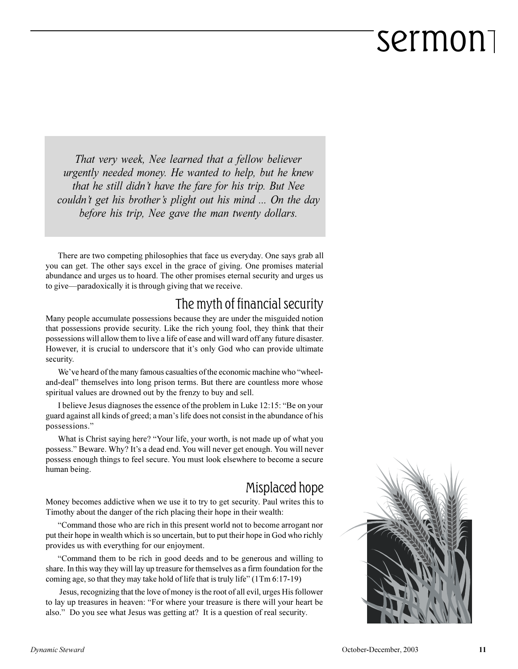*That very week, Nee learned that a fellow believer urgently needed money. He wanted to help, but he knew that he still didnt have the fare for his trip. But Nee couldn't get his brother's plight out his mind ... On the day before his trip, Nee gave the man twenty dollars.*

There are two competing philosophies that face us everyday. One says grab all you can get. The other says excel in the grace of giving. One promises material abundance and urges us to hoard. The other promises eternal security and urges us to give—paradoxically it is through giving that we receive.

#### The myth of financial security

Many people accumulate possessions because they are under the misguided notion that possessions provide security. Like the rich young fool, they think that their possessions will allow them to live a life of ease and will ward off any future disaster. However, it is crucial to underscore that it's only God who can provide ultimate security.

We've heard of the many famous casualties of the economic machine who "wheeland-deal" themselves into long prison terms. But there are countless more whose spiritual values are drowned out by the frenzy to buy and sell.

I believe Jesus diagnoses the essence of the problem in Luke 12:15: "Be on your guard against all kinds of greed; a man's life does not consist in the abundance of his possessions.

What is Christ saying here? "Your life, your worth, is not made up of what you possess." Beware. Why? It's a dead end. You will never get enough. You will never possess enough things to feel secure. You must look elsewhere to become a secure human being.

#### Misplaced hope

Money becomes addictive when we use it to try to get security. Paul writes this to Timothy about the danger of the rich placing their hope in their wealth:

Command those who are rich in this present world not to become arrogant nor put their hope in wealth which is so uncertain, but to put their hope in God who richly provides us with everything for our enjoyment.

Command them to be rich in good deeds and to be generous and willing to share. In this way they will lay up treasure for themselves as a firm foundation for the coming age, so that they may take hold of life that is truly life"  $(1Tm 6:17-19)$ 

 Jesus, recognizing that the love of money is the root of all evil, urges His follower to lay up treasures in heaven: "For where your treasure is there will your heart be also." Do you see what Jesus was getting at? It is a question of real security.

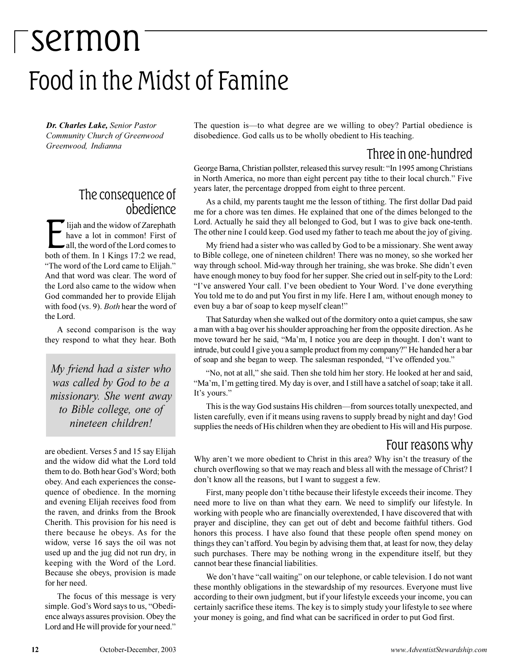## sermon Food in the Midst of Famine

*Dr. Charles Lake, Senior Pastor Community Church of Greenwood Greenwood, Indianna*

#### The consequence of obedience

Iijah and the widow of Zarephath<br>have a lot in common! First of<br>all, the word of the Lord comes to<br>both of them. In 1 Kings 17:2 we read, lijah and the widow of Zarephath have a lot in common! First of all, the word of the Lord comes to "The word of the Lord came to Elijah." And that word was clear. The word of the Lord also came to the widow when God commanded her to provide Elijah with food (vs. 9). *Both* hear the word of the Lord.

A second comparison is the way they respond to what they hear. Both

*My friend had a sister who was called by God to be a missionary. She went away to Bible college, one of nineteen children!*

are obedient. Verses 5 and 15 say Elijah and the widow did what the Lord told them to do. Both hear God's Word; both obey. And each experiences the consequence of obedience. In the morning and evening Elijah receives food from the raven, and drinks from the Brook Cherith. This provision for his need is there because he obeys. As for the widow, verse 16 says the oil was not used up and the jug did not run dry, in keeping with the Word of the Lord. Because she obeys, provision is made for her need.

The focus of this message is very simple. God's Word says to us, "Obedience always assures provision. Obey the Lord and He will provide for your need." The question is—to what degree are we willing to obey? Partial obedience is disobedience. God calls us to be wholly obedient to His teaching.

#### Three in one-hundred

George Barna, Christian pollster, released this survey result: "In 1995 among Christians in North America, no more than eight percent pay tithe to their local church." Five years later, the percentage dropped from eight to three percent.

As a child, my parents taught me the lesson of tithing. The first dollar Dad paid me for a chore was ten dimes. He explained that one of the dimes belonged to the Lord. Actually he said they all belonged to God, but I was to give back one-tenth. The other nine I could keep. God used my father to teach me about the joy of giving.

My friend had a sister who was called by God to be a missionary. She went away to Bible college, one of nineteen children! There was no money, so she worked her way through school. Mid-way through her training, she was broke. She didn't even have enough money to buy food for her supper. She cried out in self-pity to the Lord: "I've answered Your call. I've been obedient to Your Word. I've done everything You told me to do and put You first in my life. Here I am, without enough money to even buy a bar of soap to keep myself clean!

That Saturday when she walked out of the dormitory onto a quiet campus, she saw a man with a bag over his shoulder approaching her from the opposite direction. As he move toward her he said, "Ma'm, I notice you are deep in thought. I don't want to intrude, but could I give you a sample product from my company? He handed her a bar of soap and she began to weep. The salesman responded, "I've offended you."

"No, not at all," she said. Then she told him her story. He looked at her and said, "Ma'm, I'm getting tired. My day is over, and I still have a satchel of soap; take it all. It's yours."

This is the way God sustains His children—from sources totally unexpected, and listen carefully*,* even if it means using ravens to supply bread by night and day! God supplies the needs of His children when they are obedient to His will and His purpose.

#### Four reasons why

Why aren't we more obedient to Christ in this area? Why isn't the treasury of the church overflowing so that we may reach and bless all with the message of Christ? I don't know all the reasons, but I want to suggest a few.

First, many people don't tithe because their lifestyle exceeds their income. They need more to live on than what they earn. We need to simplify our lifestyle. In working with people who are financially overextended, I have discovered that with prayer and discipline, they can get out of debt and become faithful tithers. God honors this process. I have also found that these people often spend money on things they can't afford. You begin by advising them that, at least for now, they delay such purchases. There may be nothing wrong in the expenditure itself, but they cannot bear these financial liabilities.

We don't have "call waiting" on our telephone, or cable television. I do not want these monthly obligations in the stewardship of my resources. Everyone must live according to their own judgment, but if your lifestyle exceeds your income, you can certainly sacrifice these items. The key is to simply study your lifestyle to see where your money is going, and find what can be sacrificed in order to put God first.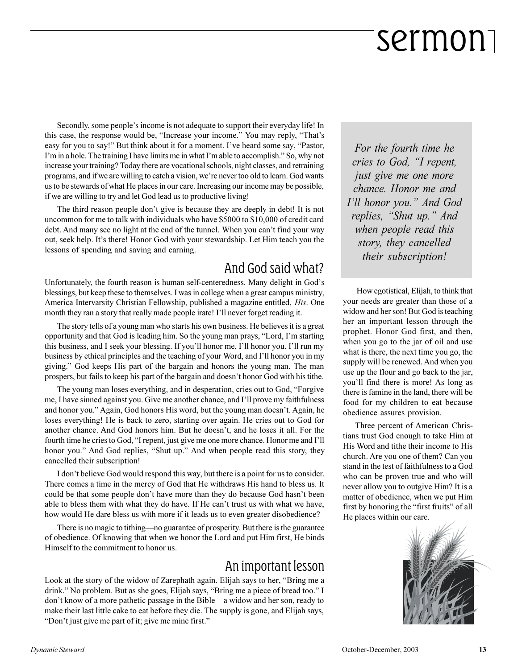Secondly, some people's income is not adequate to support their everyday life! In this case, the response would be, "Increase your income." You may reply, "That's easy for you to say!" But think about it for a moment. I've heard some say, "Pastor, I'm in a hole. The training I have limits me in what I'm able to accomplish." So, why not increase your training? Today there are vocational schools, night classes, and retraining programs, and if we are willing to catch a vision, were never too old to learn. God wants us to be stewards of what He places in our care. Increasing our income may be possible, if we are willing to try and let God lead us to productive living!

The third reason people don't give is because they are deeply in debt! It is not uncommon for me to talk with individuals who have \$5000 to \$10,000 of credit card debt. And many see no light at the end of the tunnel. When you can't find your way out, seek help. It's there! Honor God with your stewardship. Let Him teach you the lessons of spending and saving and earning.

#### And God said what?

Unfortunately, the fourth reason is human self-centeredness. Many delight in God's blessings, but keep these to themselves. I was in college when a great campus ministry, America Intervarsity Christian Fellowship, published a magazine entitled, *His*. One month they ran a story that really made people irate! I'll never forget reading it.

The story tells of a young man who starts his own business. He believes it is a great opportunity and that God is leading him. So the young man prays, "Lord, I'm starting this business, and I seek your blessing. If you'll honor me, I'll honor you. I'll run my business by ethical principles and the teaching of your Word, and I'll honor you in my giving." God keeps His part of the bargain and honors the young man. The man prospers, but fails to keep his part of the bargain and doesn't honor God with his tithe.

The young man loses everything, and in desperation, cries out to God, "Forgive me, I have sinned against you. Give me another chance, and I'll prove my faithfulness and honor you." Again, God honors His word, but the young man doesn't. Again, he loses everything! He is back to zero, starting over again. He cries out to God for another chance. And God honors him. But he doesn't, and he loses it all. For the fourth time he cries to God, "I repent, just give me one more chance. Honor me and I'll honor you." And God replies, "Shut up." And when people read this story, they cancelled their subscription!

I don't believe God would respond this way, but there is a point for us to consider. There comes a time in the mercy of God that He withdraws His hand to bless us. It could be that some people don't have more than they do because God hasn't been able to bless them with what they do have. If He can't trust us with what we have, how would He dare bless us with more if it leads us to even greater disobedience?

There is no magic to tithing—no guarantee of prosperity. But there is the guarantee of obedience. Of knowing that when we honor the Lord and put Him first, He binds Himself to the commitment to honor us.

#### An important lesson

Look at the story of the widow of Zarephath again. Elijah says to her, "Bring me a drink." No problem. But as she goes, Elijah says, "Bring me a piece of bread too." I don't know of a more pathetic passage in the Bible—a widow and her son, ready to make their last little cake to eat before they die. The supply is gone, and Elijah says, "Don't just give me part of it; give me mine first."

*For the fourth time he cries to God, "I repent, just give me one more chance. Honor me and I'll honor you.*" And God *replies, "Shut up." And when people read this story, they cancelled their subscription!*

 How egotistical, Elijah, to think that your needs are greater than those of a widow and her son! But God is teaching her an important lesson through the prophet. Honor God first, and then, when you go to the jar of oil and use what is there, the next time you go, the supply will be renewed. And when you use up the flour and go back to the jar, you'll find there is more! As long as there is famine in the land, there will be food for my children to eat because obedience assures provision.

Three percent of American Christians trust God enough to take Him at His Word and tithe their income to His church. Are you one of them? Can you stand in the test of faithfulness to a God who can be proven true and who will never allow you to outgive Him? It is a matter of obedience, when we put Him first by honoring the "first fruits" of all He places within our care.

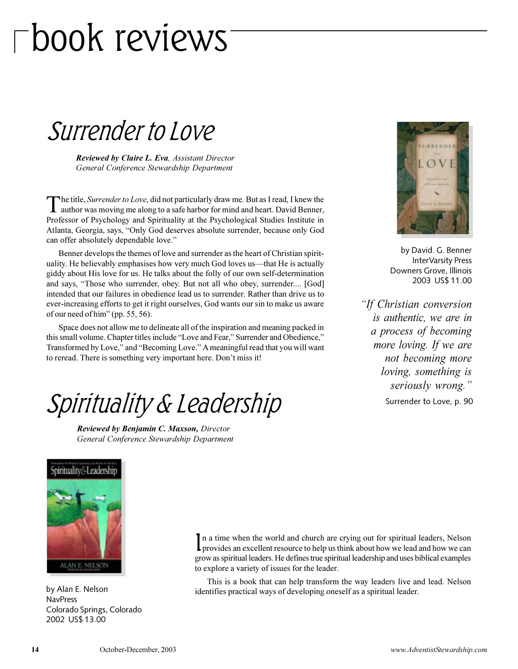## book reviews

Surrender to Love

*Reviewed by Claire L. Eva, Assistant Director General Conference Stewardship Department*

 $\bf{l}$ he title, *Surrender to Love*, did not particularly draw me. But as I read, I knew the author was moving me along to a safe harbor for mind and heart. David Benner, Professor of Psychology and Spirituality at the Psychological Studies Institute in Atlanta, Georgia, says, "Only God deserves absolute surrender, because only God can offer absolutely dependable love.

Benner develops the themes of love and surrender as the heart of Christian spirituality. He believably emphasises how very much God loves us—that He is actually giddy about His love for us. He talks about the folly of our own self-determination and says, "Those who surrender, obey. But not all who obey, surrender.... [God] intended that our failures in obedience lead us to surrender. Rather than drive us to ever-increasing efforts to get it right ourselves, God wants our sin to make us aware of our need of him" (pp.  $55, 56$ ).

Space does not allow me to delineate all of the inspiration and meaning packed in this small volume. Chapter titles include "Love and Fear," Surrender and Obedience," Transformed by Love," and "Becoming Love." A meaningful read that you will want to reread. There is something very important here. Don't miss it!

### Spirituality & Leadership

*Reviewed by Benjamin C. Maxson, Director General Conference Stewardship Department*



by David. G. Benner InterVarsity Press Downers Grove, Illinois 2003 US\$ 11.00

*If Christian conversion is authentic, we are in a process of becoming more loving. If we are not becoming more loving, something is seriously wrong.*

Surrender to Love, p. 90



by Alan E. Nelson NavPress Colorado Springs, Colorado 2002 US\$ 13.00

In a time when the world and church are crying out for spiritual leaders, Nelson provides an excellent resource to help us think about how we lead and how we can In a time when the world and church are crying out for spiritual leaders, Nelson grow as spiritual leaders. He defines true spiritual leadership and uses biblical examples to explore a variety of issues for the leader.

This is a book that can help transform the way leaders live and lead. Nelson identifies practical ways of developing oneself as a spiritual leader.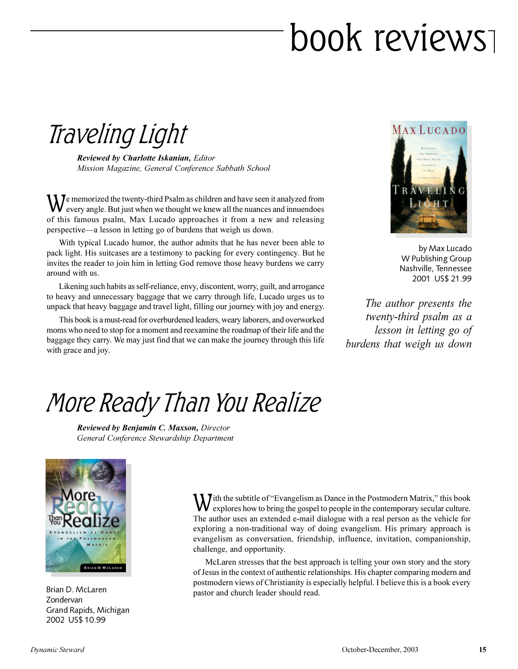## book reviews

Traveling Light

*Reviewed by Charlotte Iskanian, Editor Mission Magazine, General Conference Sabbath School*

We memorized the twenty-third Psalm as children and have seen it analyzed from<br>every angle. But just when we thought we knew all the nuances and innuendoes every angle. But just when we thought we knew all the nuances and innuendoes of this famous psalm, Max Lucado approaches it from a new and releasing perspective—a lesson in letting go of burdens that weigh us down.

With typical Lucado humor, the author admits that he has never been able to pack light. His suitcases are a testimony to packing for every contingency. But he invites the reader to join him in letting God remove those heavy burdens we carry around with us.

Likening such habits as self-reliance, envy, discontent, worry, guilt, and arrogance to heavy and unnecessary baggage that we carry through life, Lucado urges us to unpack that heavy baggage and travel light, filling our journey with joy and energy.

This book is a must-read for overburdened leaders, weary laborers, and overworked moms who need to stop for a moment and reexamine the roadmap of their life and the baggage they carry. We may just find that we can make the journey through this life with grace and joy.



by Max Lucado W Publishing Group Nashville, Tennessee 2001 US\$ 21.99

*The author presents the twenty-third psalm as a lesson in letting go of burdens that weigh us down*

### More Ready Than You Realize

*Reviewed by Benjamin C. Maxson, Director General Conference Stewardship Department*



Brian D. McLaren Zondervan Grand Rapids, Michigan 2002 US\$ 10.99

W ith the subtitle of "Evangelism as Dance in the Postmodern Matrix," this book explores how to bring the gospel to people in the contemporary secular culture. explores how to bring the gospel to people in the contemporary secular culture. The author uses an extended e-mail dialogue with a real person as the vehicle for exploring a non-traditional way of doing evangelism. His primary approach is evangelism as conversation, friendship, influence, invitation, companionship, challenge, and opportunity.

McLaren stresses that the best approach is telling your own story and the story of Jesus in the context of authentic relationships. His chapter comparing modern and postmodern views of Christianity is especially helpful. I believe this is a book every pastor and church leader should read.